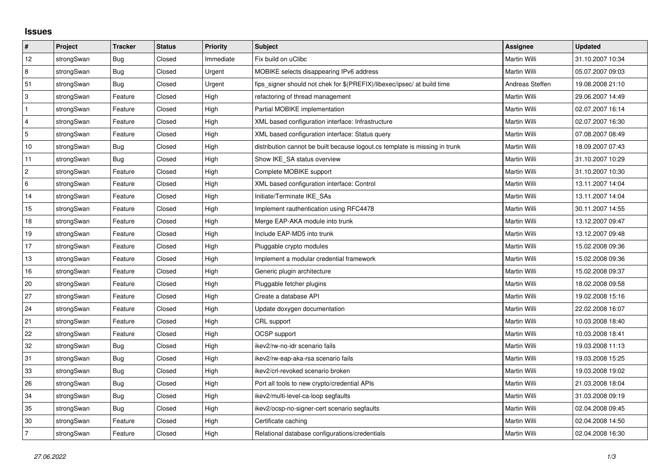## **Issues**

| #               | Project    | <b>Tracker</b> | <b>Status</b> | Priority  | Subject                                                                     | <b>Assignee</b> | <b>Updated</b>   |
|-----------------|------------|----------------|---------------|-----------|-----------------------------------------------------------------------------|-----------------|------------------|
| 12              | strongSwan | <b>Bug</b>     | Closed        | Immediate | Fix build on uClibc                                                         | Martin Willi    | 31.10.2007 10:34 |
| 8               | strongSwan | Bug            | Closed        | Urgent    | MOBIKE selects disappearing IPv6 address                                    | Martin Willi    | 05.07.2007 09:03 |
| 51              | strongSwan | Bug            | Closed        | Urgent    | fips_signer should not chek for \$(PREFIX)/libexec/ipsec/ at build time     | Andreas Steffen | 19.08.2008 21:10 |
| 3               | strongSwan | Feature        | Closed        | High      | refactoring of thread management                                            | Martin Willi    | 29.06.2007 14:49 |
| $\mathbf{1}$    | strongSwan | Feature        | Closed        | High      | Partial MOBIKE implementation                                               | Martin Willi    | 02.07.2007 16:14 |
| $\overline{4}$  | strongSwan | Feature        | Closed        | High      | XML based configuration interface: Infrastructure                           | Martin Willi    | 02.07.2007 16:30 |
| 5               | strongSwan | Feature        | Closed        | High      | XML based configuration interface: Status query                             | Martin Willi    | 07.08.2007 08:49 |
| $10$            | strongSwan | <b>Bug</b>     | Closed        | High      | distribution cannot be built because logout.cs template is missing in trunk | Martin Willi    | 18.09.2007 07:43 |
| 11              | strongSwan | Bug            | Closed        | High      | Show IKE SA status overview                                                 | Martin Willi    | 31.10.2007 10:29 |
| $\overline{2}$  | strongSwan | Feature        | Closed        | High      | Complete MOBIKE support                                                     | Martin Willi    | 31.10.2007 10:30 |
| $6\phantom{a}6$ | strongSwan | Feature        | Closed        | High      | XML based configuration interface: Control                                  | Martin Willi    | 13.11.2007 14:04 |
| 14              | strongSwan | Feature        | Closed        | High      | Initiate/Terminate IKE SAs                                                  | Martin Willi    | 13.11.2007 14:04 |
| 15              | strongSwan | Feature        | Closed        | High      | Implement rauthentication using RFC4478                                     | Martin Willi    | 30.11.2007 14:55 |
| 18              | strongSwan | Feature        | Closed        | High      | Merge EAP-AKA module into trunk                                             | Martin Willi    | 13.12.2007 09:47 |
| 19              | strongSwan | Feature        | Closed        | High      | Include EAP-MD5 into trunk                                                  | Martin Willi    | 13.12.2007 09:48 |
| 17              | strongSwan | Feature        | Closed        | High      | Pluggable crypto modules                                                    | Martin Willi    | 15.02.2008 09:36 |
| 13              | strongSwan | Feature        | Closed        | High      | Implement a modular credential framework                                    | Martin Willi    | 15.02.2008 09:36 |
| 16              | strongSwan | Feature        | Closed        | High      | Generic plugin architecture                                                 | Martin Willi    | 15.02.2008 09:37 |
| 20              | strongSwan | Feature        | Closed        | High      | Pluggable fetcher plugins                                                   | Martin Willi    | 18.02.2008 09:58 |
| 27              | strongSwan | Feature        | Closed        | High      | Create a database API                                                       | Martin Willi    | 19.02.2008 15:16 |
| 24              | strongSwan | Feature        | Closed        | High      | Update doxygen documentation                                                | Martin Willi    | 22.02.2008 16:07 |
| 21              | strongSwan | Feature        | Closed        | High      | CRL support                                                                 | Martin Willi    | 10.03.2008 18:40 |
| 22              | strongSwan | Feature        | Closed        | High      | OCSP support                                                                | Martin Willi    | 10.03.2008 18:41 |
| 32              | strongSwan | <b>Bug</b>     | Closed        | High      | ikev2/rw-no-idr scenario fails                                              | Martin Willi    | 19.03.2008 11:13 |
| 31              | strongSwan | Bug            | Closed        | High      | ikev2/rw-eap-aka-rsa scenario fails                                         | Martin Willi    | 19.03.2008 15:25 |
| 33              | strongSwan | Bug            | Closed        | High      | ikev2/crl-revoked scenario broken                                           | Martin Willi    | 19.03.2008 19:02 |
| 26              | strongSwan | Bug            | Closed        | High      | Port all tools to new crypto/credential APIs                                | Martin Willi    | 21.03.2008 18:04 |
| 34              | strongSwan | Bug            | Closed        | High      | ikev2/multi-level-ca-loop segfaults                                         | Martin Willi    | 31.03.2008 09:19 |
| 35              | strongSwan | Bug            | Closed        | High      | ikev2/ocsp-no-signer-cert scenario segfaults                                | Martin Willi    | 02.04.2008 09:45 |
| 30              | strongSwan | Feature        | Closed        | High      | Certificate caching                                                         | Martin Willi    | 02.04.2008 14:50 |
| 7               | strongSwan | Feature        | Closed        | High      | Relational database configurations/credentials                              | Martin Willi    | 02.04.2008 16:30 |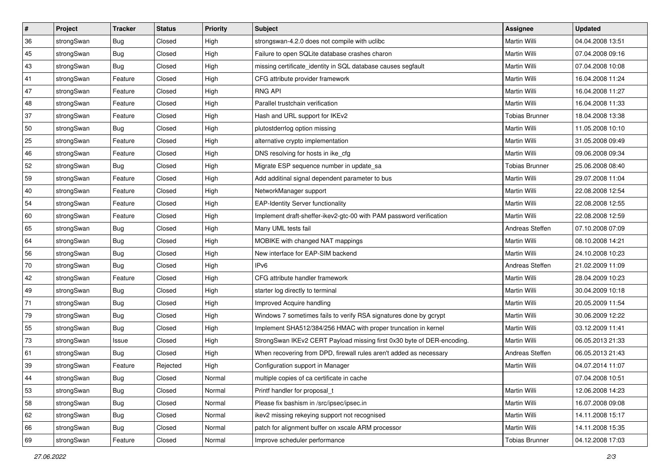| $\pmb{\#}$ | Project    | <b>Tracker</b> | <b>Status</b> | <b>Priority</b> | Subject                                                                | <b>Assignee</b>       | <b>Updated</b>   |
|------------|------------|----------------|---------------|-----------------|------------------------------------------------------------------------|-----------------------|------------------|
| 36         | strongSwan | Bug            | Closed        | High            | strongswan-4.2.0 does not compile with uclibe                          | Martin Willi          | 04.04.2008 13:51 |
| 45         | strongSwan | Bug            | Closed        | High            | Failure to open SQLite database crashes charon                         | Martin Willi          | 07.04.2008 09:16 |
| 43         | strongSwan | Bug            | Closed        | High            | missing certificate_identity in SQL database causes segfault           | Martin Willi          | 07.04.2008 10:08 |
| 41         | strongSwan | Feature        | Closed        | High            | CFG attribute provider framework                                       | Martin Willi          | 16.04.2008 11:24 |
| 47         | strongSwan | Feature        | Closed        | High            | <b>RNG API</b>                                                         | Martin Willi          | 16.04.2008 11:27 |
| 48         | strongSwan | Feature        | Closed        | High            | Parallel trustchain verification                                       | Martin Willi          | 16.04.2008 11:33 |
| 37         | strongSwan | Feature        | Closed        | High            | Hash and URL support for IKEv2                                         | <b>Tobias Brunner</b> | 18.04.2008 13:38 |
| 50         | strongSwan | Bug            | Closed        | High            | plutostderrlog option missing                                          | Martin Willi          | 11.05.2008 10:10 |
| 25         | strongSwan | Feature        | Closed        | High            | alternative crypto implementation                                      | Martin Willi          | 31.05.2008 09:49 |
| 46         | strongSwan | Feature        | Closed        | High            | DNS resolving for hosts in ike_cfg                                     | Martin Willi          | 09.06.2008 09:34 |
| 52         | strongSwan | Bug            | Closed        | High            | Migrate ESP sequence number in update_sa                               | <b>Tobias Brunner</b> | 25.06.2008 08:40 |
| 59         | strongSwan | Feature        | Closed        | High            | Add additinal signal dependent parameter to bus                        | Martin Willi          | 29.07.2008 11:04 |
| 40         | strongSwan | Feature        | Closed        | High            | NetworkManager support                                                 | Martin Willi          | 22.08.2008 12:54 |
| 54         | strongSwan | Feature        | Closed        | High            | <b>EAP-Identity Server functionality</b>                               | Martin Willi          | 22.08.2008 12:55 |
| 60         | strongSwan | Feature        | Closed        | High            | Implement draft-sheffer-ikev2-gtc-00 with PAM password verification    | Martin Willi          | 22.08.2008 12:59 |
| 65         | strongSwan | Bug            | Closed        | High            | Many UML tests fail                                                    | Andreas Steffen       | 07.10.2008 07:09 |
| 64         | strongSwan | Bug            | Closed        | High            | MOBIKE with changed NAT mappings                                       | Martin Willi          | 08.10.2008 14:21 |
| 56         | strongSwan | Bug            | Closed        | High            | New interface for EAP-SIM backend                                      | Martin Willi          | 24.10.2008 10:23 |
| 70         | strongSwan | Bug            | Closed        | High            | IP <sub>v6</sub>                                                       | Andreas Steffen       | 21.02.2009 11:09 |
| 42         | strongSwan | Feature        | Closed        | High            | CFG attribute handler framework                                        | Martin Willi          | 28.04.2009 10:23 |
| 49         | strongSwan | Bug            | Closed        | High            | starter log directly to terminal                                       | Martin Willi          | 30.04.2009 10:18 |
| 71         | strongSwan | Bug            | Closed        | High            | Improved Acquire handling                                              | Martin Willi          | 20.05.2009 11:54 |
| 79         | strongSwan | Bug            | Closed        | High            | Windows 7 sometimes fails to verify RSA signatures done by gcrypt      | Martin Willi          | 30.06.2009 12:22 |
| 55         | strongSwan | Bug            | Closed        | High            | Implement SHA512/384/256 HMAC with proper truncation in kernel         | Martin Willi          | 03.12.2009 11:41 |
| 73         | strongSwan | Issue          | Closed        | High            | StrongSwan IKEv2 CERT Payload missing first 0x30 byte of DER-encoding. | Martin Willi          | 06.05.2013 21:33 |
| 61         | strongSwan | Bug            | Closed        | High            | When recovering from DPD, firewall rules aren't added as necessary     | Andreas Steffen       | 06.05.2013 21:43 |
| 39         | strongSwan | Feature        | Rejected      | High            | Configuration support in Manager                                       | Martin Willi          | 04.07.2014 11:07 |
| 44         | strongSwan | <b>Bug</b>     | Closed        | Normal          | multiple copies of ca certificate in cache                             |                       | 07.04.2008 10:51 |
| 53         | strongSwan | Bug            | Closed        | Normal          | Printf handler for proposal t                                          | Martin Willi          | 12.06.2008 14:23 |
| 58         | strongSwan | Bug            | Closed        | Normal          | Please fix bashism in /src/ipsec/ipsec.in                              | Martin Willi          | 16.07.2008 09:08 |
| 62         | strongSwan | Bug            | Closed        | Normal          | ikev2 missing rekeying support not recognised                          | Martin Willi          | 14.11.2008 15:17 |
| 66         | strongSwan | Bug            | Closed        | Normal          | patch for alignment buffer on xscale ARM processor                     | Martin Willi          | 14.11.2008 15:35 |
| 69         | strongSwan | Feature        | Closed        | Normal          | Improve scheduler performance                                          | <b>Tobias Brunner</b> | 04.12.2008 17:03 |